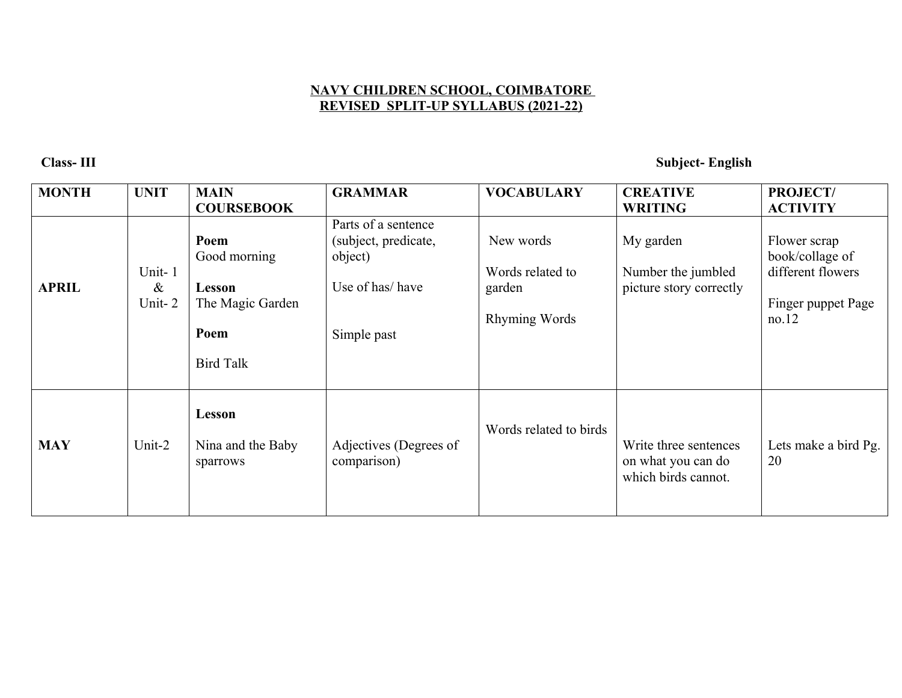## **NAVY CHILDREN SCHOOL, COIMBATORE REVISED SPLIT-UP SYLLABUS (2021-22)**

## **Class- III Subject- English**

| <b>MONTH</b> | <b>UNIT</b>              | <b>MAIN</b><br><b>COURSEBOOK</b>                                               | <b>GRAMMAR</b>                                                                           | <b>VOCABULARY</b>                                               | <b>CREATIVE</b><br><b>WRITING</b>                                  | PROJECT/<br><b>ACTIVITY</b>                                                         |
|--------------|--------------------------|--------------------------------------------------------------------------------|------------------------------------------------------------------------------------------|-----------------------------------------------------------------|--------------------------------------------------------------------|-------------------------------------------------------------------------------------|
| <b>APRIL</b> | Unit-1<br>$\&$<br>Unit-2 | Poem<br>Good morning<br>Lesson<br>The Magic Garden<br>Poem<br><b>Bird Talk</b> | Parts of a sentence<br>(subject, predicate,<br>object)<br>Use of has/have<br>Simple past | New words<br>Words related to<br>garden<br><b>Rhyming Words</b> | My garden<br>Number the jumbled<br>picture story correctly         | Flower scrap<br>book/collage of<br>different flowers<br>Finger puppet Page<br>no.12 |
| <b>MAY</b>   | Unit-2                   | Lesson<br>Nina and the Baby<br>sparrows                                        | Adjectives (Degrees of<br>comparison)                                                    | Words related to birds                                          | Write three sentences<br>on what you can do<br>which birds cannot. | Lets make a bird Pg.<br>20                                                          |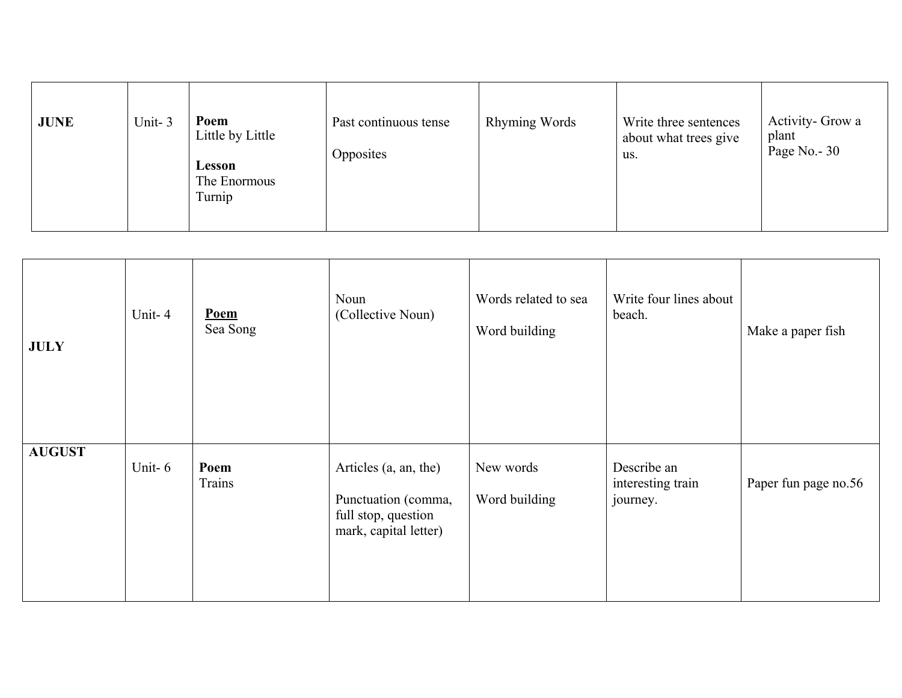| <b>JUNE</b> | Unit-3 | Poem<br>Little by Little<br>Lesson<br>The Enormous<br>Turnip | Past continuous tense<br>Opposites | <b>Rhyming Words</b> | Write three sentences<br>about what trees give<br>us. | Activity- Grow a<br>plant<br>Page No. - 30 |
|-------------|--------|--------------------------------------------------------------|------------------------------------|----------------------|-------------------------------------------------------|--------------------------------------------|
|-------------|--------|--------------------------------------------------------------|------------------------------------|----------------------|-------------------------------------------------------|--------------------------------------------|

| <b>JULY</b>   | Unit-4 | Poem<br>Sea Song | Noun<br>(Collective Noun)                                                                    | Words related to sea<br>Word building | Write four lines about<br>beach.             | Make a paper fish    |
|---------------|--------|------------------|----------------------------------------------------------------------------------------------|---------------------------------------|----------------------------------------------|----------------------|
| <b>AUGUST</b> | Unit-6 | Poem<br>Trains   | Articles (a, an, the)<br>Punctuation (comma,<br>full stop, question<br>mark, capital letter) | New words<br>Word building            | Describe an<br>interesting train<br>journey. | Paper fun page no.56 |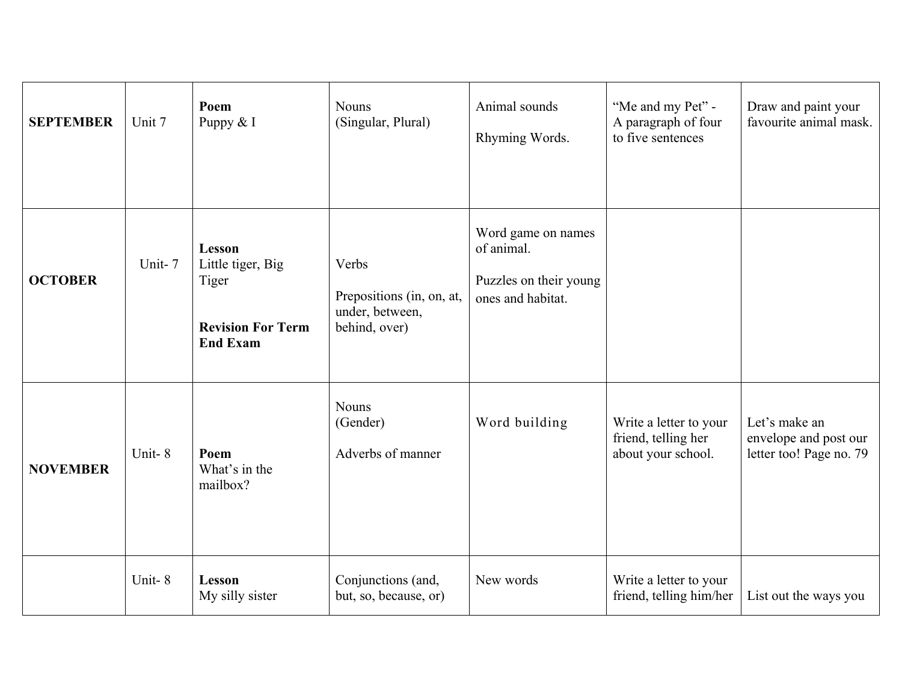| <b>SEPTEMBER</b> | Unit 7 | Poem<br>Puppy & I                                                                   | <b>Nouns</b><br>(Singular, Plural)                                     | Animal sounds<br>Rhyming Words.                                                 | "Me and my Pet" -<br>A paragraph of four<br>to five sentences       | Draw and paint your<br>favourite animal mask.                     |
|------------------|--------|-------------------------------------------------------------------------------------|------------------------------------------------------------------------|---------------------------------------------------------------------------------|---------------------------------------------------------------------|-------------------------------------------------------------------|
| <b>OCTOBER</b>   | Unit-7 | Lesson<br>Little tiger, Big<br>Tiger<br><b>Revision For Term</b><br><b>End Exam</b> | Verbs<br>Prepositions (in, on, at,<br>under, between,<br>behind, over) | Word game on names<br>of animal.<br>Puzzles on their young<br>ones and habitat. |                                                                     |                                                                   |
| <b>NOVEMBER</b>  | Unit-8 | Poem<br>What's in the<br>mailbox?                                                   | <b>Nouns</b><br>(Gender)<br>Adverbs of manner                          | Word building                                                                   | Write a letter to your<br>friend, telling her<br>about your school. | Let's make an<br>envelope and post our<br>letter too! Page no. 79 |
|                  | Unit-8 | Lesson<br>My silly sister                                                           | Conjunctions (and,<br>but, so, because, or)                            | New words                                                                       | Write a letter to your<br>friend, telling him/her                   | List out the ways you                                             |